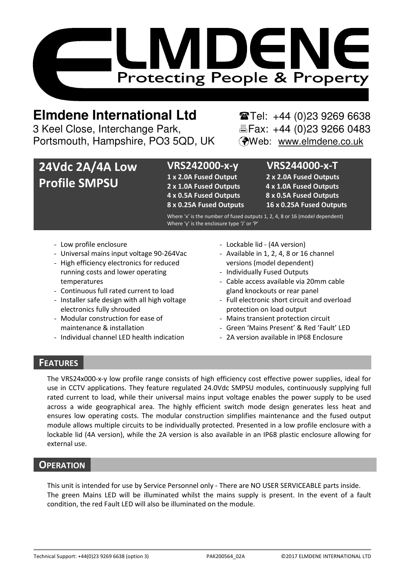

# **Elmdene International Ltd** Tel: +44 (0)23 9269 6638

3 Keel Close, Interchange Park, Electric Fax: +44 (0)23 9266 0483 Portsmouth, Hampshire, PO3 5QD, UK (Web: www.elmdene.co.uk

# **24Vdc 2A/4A Low Profile SMPSU**

# **VRS242000-x-y VRS244000-x-T**

**1 x 2.0A Fused Output 2 x 2.0A Fused Outputs 2 x 1.0A Fused Outputs 4 x 1.0A Fused Outputs 4 x 0.5A Fused Outputs 8 x 0.5A Fused Outputs** 

**8 x 0.25A Fused Outputs 16 x 0.25A Fused Outputs** 

Where 'x' is the number of fused outputs 1, 2, 4, 8 or 16 (model dependent) Where 'y' is the enclosure type 'J' or 'P'

- Low profile enclosure
- Universal mains input voltage 90-264Vac
- High efficiency electronics for reduced running costs and lower operating temperatures
- Continuous full rated current to load
- Installer safe design with all high voltage electronics fully shrouded
- Modular construction for ease of maintenance & installation
- Individual channel LED health indication
- Lockable lid (4A version)
- Available in 1, 2, 4, 8 or 16 channel versions (model dependent)
- Individually Fused Outputs
- Cable access available via 20mm cable gland knockouts or rear panel
- Full electronic short circuit and overload protection on load output
- Mains transient protection circuit
- Green 'Mains Present' & Red 'Fault' LED
- 2A version available in IP68 Enclosure

# **FEATURES**

The VRS24x000-x-y low profile range consists of high efficiency cost effective power supplies, ideal for use in CCTV applications. They feature regulated 24.0Vdc SMPSU modules, continuously supplying full rated current to load, while their universal mains input voltage enables the power supply to be used across a wide geographical area. The highly efficient switch mode design generates less heat and ensures low operating costs. The modular construction simplifies maintenance and the fused output module allows multiple circuits to be individually protected. Presented in a low profile enclosure with a lockable lid (4A version), while the 2A version is also available in an IP68 plastic enclosure allowing for external use.

# **OPERATION**

This unit is intended for use by Service Personnel only - There are NO USER SERVICEABLE parts inside. The green Mains LED will be illuminated whilst the mains supply is present. In the event of a fault condition, the red Fault LED will also be illuminated on the module.

Technical Support: +44(0)23 9269 6638 (option 3) PAK200564\_02A ©2017 ELMDENE INTERNATIONAL LTD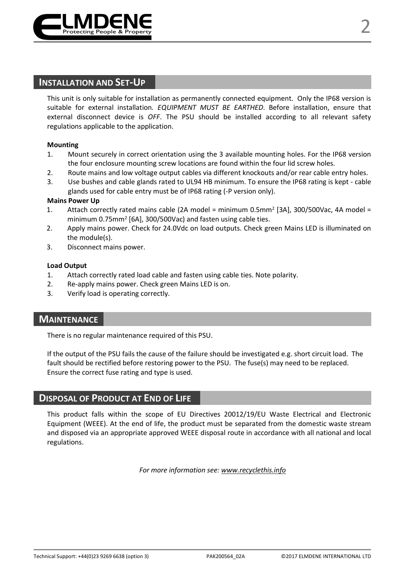

This unit is only suitable for installation as permanently connected equipment. Only the IP68 version is suitable for external installation*. EQUIPMENT MUST BE EARTHED*. Before installation, ensure that external disconnect device is *OFF*. The PSU should be installed according to all relevant safety regulations applicable to the application.

#### **Mounting**

- 1. Mount securely in correct orientation using the 3 available mounting holes. For the IP68 version the four enclosure mounting screw locations are found within the four lid screw holes.
- 2. Route mains and low voltage output cables via different knockouts and/or rear cable entry holes.
- 3. Use bushes and cable glands rated to UL94 HB minimum. To ensure the IP68 rating is kept cable glands used for cable entry must be of IP68 rating (-P version only).

#### **Mains Power Up**

- 1. Attach correctly rated mains cable (2A model = minimum  $0.5$ mm<sup>2</sup> [3A], 300/500Vac, 4A model = minimum 0.75mm<sup>2</sup> [6A], 300/500Vac) and fasten using cable ties.
- 2. Apply mains power. Check for 24.0Vdc on load outputs. Check green Mains LED is illuminated on the module(s).
- 3. Disconnect mains power.

#### **Load Output**

- 1. Attach correctly rated load cable and fasten using cable ties. Note polarity.
- 2. Re-apply mains power. Check green Mains LED is on.
- 3. Verify load is operating correctly.

# **MAINTENANCE**

There is no regular maintenance required of this PSU.

If the output of the PSU fails the cause of the failure should be investigated e.g. short circuit load. The fault should be rectified before restoring power to the PSU. The fuse(s) may need to be replaced. Ensure the correct fuse rating and type is used.

# **DISPOSAL OF PRODUCT AT END OF LIFE**

This product falls within the scope of EU Directives 20012/19/EU Waste Electrical and Electronic Equipment (WEEE). At the end of life, the product must be separated from the domestic waste stream and disposed via an appropriate approved WEEE disposal route in accordance with all national and local regulations.

*For more information see: www.recyclethis.info*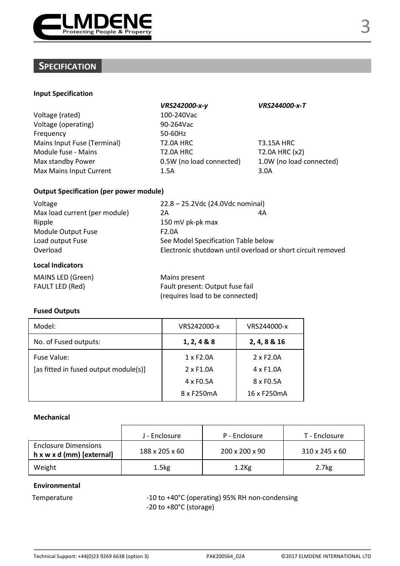

# **SPECIFICATION**

#### **Input Specification**

| Voltage (rated)             | 100-240Vac               |                  |
|-----------------------------|--------------------------|------------------|
| Voltage (operating)         | 90-264Vac                |                  |
| Frequency                   | 50-60Hz                  |                  |
| Mains Input Fuse (Terminal) | T <sub>2.0</sub> A HRC   | T3.1             |
| Module fuse - Mains         | T <sub>2.0</sub> A HRC   | T2.0             |
| Max standby Power           | 0.5W (no load connected) | 1.0 <sub>W</sub> |
| Max Mains Input Current     | 1.5A                     | 3.0A             |

*VRS242000-x-y VRS244000-x-T* 100-240Vac 90-264Vac 50-60Hz T2.0A HRC T3.15A HRC  $T2.0A$  HRC  $T2.0A$  HRC  $(x2)$ 

0.5W (no load connected) 1.0W (no load connected)

## **Output Specification (per power module)**

| Voltage                       | 22.8 - 25.2Vdc (24.0Vdc nominal)    |                                                             |
|-------------------------------|-------------------------------------|-------------------------------------------------------------|
| Max load current (per module) | 2A                                  | 4A                                                          |
| Ripple                        | 150 mV pk-pk max                    |                                                             |
| Module Output Fuse            | F <sub>2.0</sub> A                  |                                                             |
| Load output Fuse              | See Model Specification Table below |                                                             |
| Overload                      |                                     | Electronic shutdown until overload or short circuit removed |
| ومعمده والمعالمهما            |                                     |                                                             |

#### **Local Indicators**

| MAINS LED (Green) | Mains present                   |
|-------------------|---------------------------------|
| FAULT LED (Red)   | Fault present: Output fuse fail |
|                   | (requires load to be connected) |

## **Fused Outputs**

| Model:                                | VRS242000-x            | VRS244000-x            |
|---------------------------------------|------------------------|------------------------|
| No. of Fused outputs:                 | 1, 2, 4 & 8 & 8        | 2, 4, 8 & 16           |
| Fuse Value:                           | 1 x F <sub>2</sub> .0A | 2 x F <sub>2</sub> .0A |
| [as fitted in fused output module(s)] | 2 x F <sub>1.0</sub> A | $4 \times$ F1.0A       |
|                                       | 4 x F <sub>0.5</sub> A | 8 x F <sub>0.5</sub> A |
|                                       | 8 x F250mA             | 16 x F250mA            |

#### **Mechanical**

|                                                          | J - Enclosure     | P - Enclosure  | T - Enclosure     |
|----------------------------------------------------------|-------------------|----------------|-------------------|
| <b>Enclosure Dimensions</b><br>h x w x d (mm) [external] | 188 x 205 x 60    | 200 x 200 x 90 | 310 x 245 x 60    |
| Weight                                                   | 1.5 <sub>kg</sub> | $1.2$ Kg       | 2.7 <sub>kg</sub> |

### **Environmental**

Temperature  $-10$  to +40°C (operating) 95% RH non-condensing -20 to +80°C (storage)